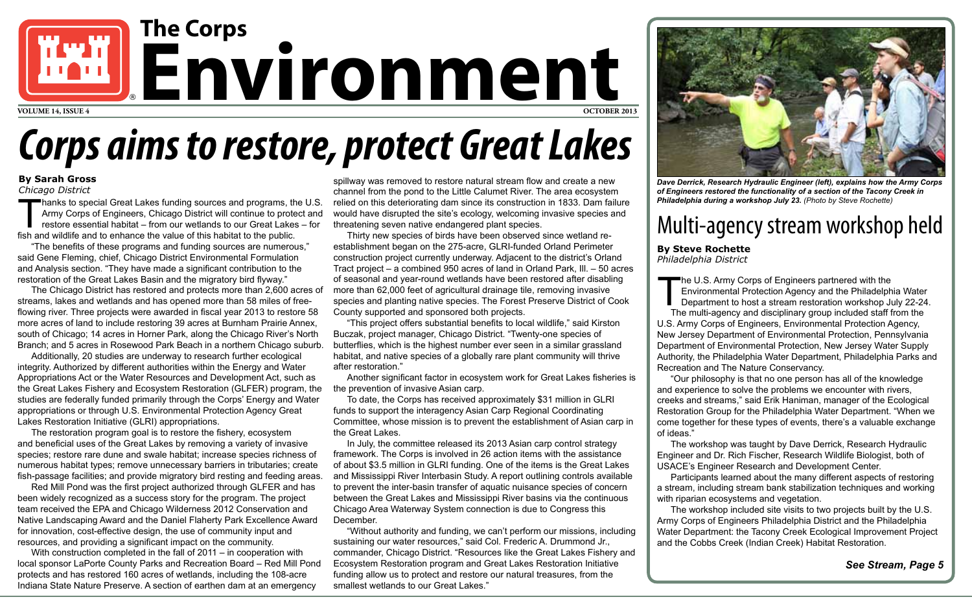## **By Steve Rochette**

*Philadelphia District*

*See Stream, Page 5*



*Dave Derrick, Research Hydraulic Engineer (left), explains how the Army Corps of Engineers restored the functionality of a section of the Tacony Creek in Philadelphia during a workshop July 23. (Photo by Steve Rochette)* 

## *Corps aims to restore, protect Great Lakes*

## **By Sarah Gross**

*Chicago District*

## Multi-agency stream workshop held

The U.S. Army Corps of Engineers partnered with the<br>Environmental Protection Agency and the Philadelph<br>Department to host a stream restoration workshop Ju<br>The multi-agency and disciplinary group included staff Environmental Protection Agency and the Philadelphia Water Department to host a stream restoration workshop July 22-24. The multi-agency and disciplinary group included staff from the U.S. Army Corps of Engineers, Environmental Protection Agency, New Jersey Department of Environmental Protection, Pennsylvania Department of Environmental Protection, New Jersey Water Supply Authority, the Philadelphia Water Department, Philadelphia Parks and Recreation and The Nature Conservancy.

Thanks to special Great Lakes funding sources and programs, the U.S. Army Corps of Engineers, Chicago District will continue to protect and restore essential habitat – from our wetlands to our Great Lakes – for fish and wildlife and to enhance the value of this habitat to the public.

> "Our philosophy is that no one person has all of the knowledge and experience to solve the problems we encounter with rivers, creeks and streams," said Erik Haniman, manager of the Ecological Restoration Group for the Philadelphia Water Department. "When we come together for these types of events, there's a valuable exchange

of ideas."

The workshop was taught by Dave Derrick, Research Hydraulic Engineer and Dr. Rich Fischer, Research Wildlife Biologist, both of USACE's Engineer Research and Development Center.

Participants learned about the many different aspects of restoring a stream, including stream bank stabilization techniques and working with riparian ecosystems and vegetation.

The workshop included site visits to two projects built by the U.S. Army Corps of Engineers Philadelphia District and the Philadelphia Water Department: the Tacony Creek Ecological Improvement Project and the Cobbs Creek (Indian Creek) Habitat Restoration.

"The benefits of these programs and funding sources are numerous," said Gene Fleming, chief, Chicago District Environmental Formulation and Analysis section. "They have made a significant contribution to the restoration of the Great Lakes Basin and the migratory bird flyway."

The Chicago District has restored and protects more than 2,600 acres of streams, lakes and wetlands and has opened more than 58 miles of freeflowing river. Three projects were awarded in fiscal year 2013 to restore 58 more acres of land to include restoring 39 acres at Burnham Prairie Annex, south of Chicago; 14 acres in Horner Park, along the Chicago River's North Branch; and 5 acres in Rosewood Park Beach in a northern Chicago suburb.

Additionally, 20 studies are underway to research further ecological integrity. Authorized by different authorities within the Energy and Water Appropriations Act or the Water Resources and Development Act, such as the Great Lakes Fishery and Ecosystem Restoration (GLFER) program, the studies are federally funded primarily through the Corps' Energy and Water appropriations or through U.S. Environmental Protection Agency Great Lakes Restoration Initiative (GLRI) appropriations.

The restoration program goal is to restore the fishery, ecosystem and beneficial uses of the Great Lakes by removing a variety of invasive species; restore rare dune and swale habitat; increase species richness of numerous habitat types; remove unnecessary barriers in tributaries; create fish-passage facilities; and provide migratory bird resting and feeding areas.

Red Mill Pond was the first project authorized through GLFER and has been widely recognized as a success story for the program. The project team received the EPA and Chicago Wilderness 2012 Conservation and Native Landscaping Award and the Daniel Flaherty Park Excellence Award for innovation, cost-effective design, the use of community input and resources, and providing a significant impact on the community.

With construction completed in the fall of 2011 – in cooperation with local sponsor LaPorte County Parks and Recreation Board – Red Mill Pond protects and has restored 160 acres of wetlands, including the 108-acre Indiana State Nature Preserve. A section of earthen dam at an emergency

spillway was removed to restore natural stream flow and create a new channel from the pond to the Little Calumet River. The area ecosystem relied on this deteriorating dam since its construction in 1833. Dam failure would have disrupted the site's ecology, welcoming invasive species and threatening seven native endangered plant species.

Thirty new species of birds have been observed since wetland reestablishment began on the 275-acre, GLRI-funded Orland Perimeter construction project currently underway. Adjacent to the district's Orland Tract project – a combined 950 acres of land in Orland Park, Ill. – 50 acres of seasonal and year-round wetlands have been restored after disabling more than 62,000 feet of agricultural drainage tile, removing invasive species and planting native species. The Forest Preserve District of Cook County supported and sponsored both projects.

"This project offers substantial benefits to local wildlife," said Kirston Buczak, project manager, Chicago District. "Twenty-one species of butterflies, which is the highest number ever seen in a similar grassland habitat, and native species of a globally rare plant community will thrive after restoration."

Another significant factor in ecosystem work for Great Lakes fisheries is the prevention of invasive Asian carp.

To date, the Corps has received approximately \$31 million in GLRI funds to support the interagency Asian Carp Regional Coordinating Committee, whose mission is to prevent the establishment of Asian carp in the Great Lakes.

In July, the committee released its 2013 Asian carp control strategy framework. The Corps is involved in 26 action items with the assistance of about \$3.5 million in GLRI funding. One of the items is the Great Lakes and Mississippi River Interbasin Study. A report outlining controls available to prevent the inter-basin transfer of aquatic nuisance species of concern between the Great Lakes and Mississippi River basins via the continuous Chicago Area Waterway System connection is due to Congress this December.

"Without authority and funding, we can't perform our missions, including sustaining our water resources," said Col. Frederic A. Drummond Jr., commander, Chicago District. "Resources like the Great Lakes Fishery and Ecosystem Restoration program and Great Lakes Restoration Initiative funding allow us to protect and restore our natural treasures, from the smallest wetlands to our Great Lakes."

**The Corps**

® **Environment VOLUME 14, ISSUE 4 OCTOBER 2013**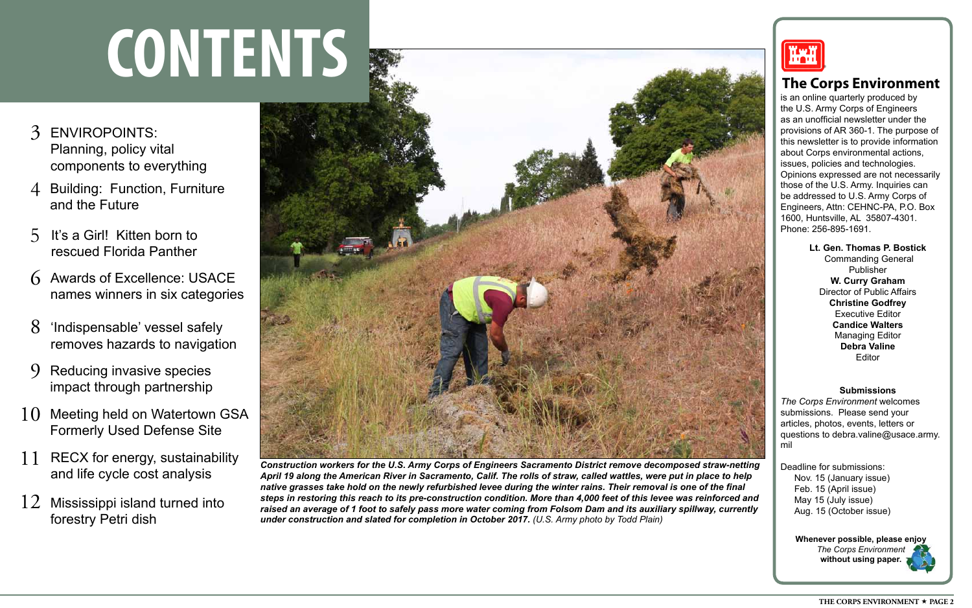## **Submissions**

*The Corps Environment* welcomes submissions. Please send your articles, photos, events, letters or questions to debra.valine@usace.army. mil

Deadline for submissions: Nov. 15 (January issue) Feb. 15 (April issue) May 15 (July issue) Aug. 15 (October issue)

> **Whenever possible, please enjoy**  *The Corps Environment* **without using paper.**

is an online quarterly produced by the U.S. Army Corps of Engineers as an unofficial newsletter under the provisions of AR 360-1. The purpose of this newsletter is to provide information about Corps environmental actions, issues, policies and technologies. Opinions expressed are not necessarily those of the U.S. Army. Inquiries can be addressed to U.S. Army Corps of Engineers, Attn: CEHNC-PA, P.O. Box 1600, Huntsville, AL 35807-4301. Phone: 256-895-1691.

> **Lt. Gen. Thomas P. Bostick** Commanding General Publisher **W. Curry Graham** Director of Public Affairs **Christine Godfrey**  Executive Editor **Candice Walters** Managing Editor **Debra Valine** Editor

## **The Corps Environment**

# **CONTENTS** ®

- 3 ENVIROPOINTS: Planning, policy vital components to everything
- **Building: Function, Furniture** and the Future
- It's a Girl! Kitten born to rescued Florida Panther 5
- 6 Awards of Excellence: USACE names winners in six categories
- 8 'Indispensable' vessel safely removes hazards to navigation
- $\mathbf Q$ Reducing invasive species impact through partnership
- 10 Meeting held on Watertown GSA Formerly Used Defense Site
- 11 RECX for energy, sustainability and life cycle cost analysis
- 12 Mississippi island turned into forestry Petri dish



*Construction workers for the U.S. Army Corps of Engineers Sacramento District remove decomposed straw-netting April 19 along the American River in Sacramento, Calif. The rolls of straw, called wattles, were put in place to help native grasses take hold on the newly refurbished levee during the winter rains. Their removal is one of the final steps in restoring this reach to its pre-construction condition. More than 4,000 feet of this levee was reinforced and raised an average of 1 foot to safely pass more water coming from Folsom Dam and its auxiliary spillway, currently under construction and slated for completion in October 2017. (U.S. Army photo by Todd Plain)*

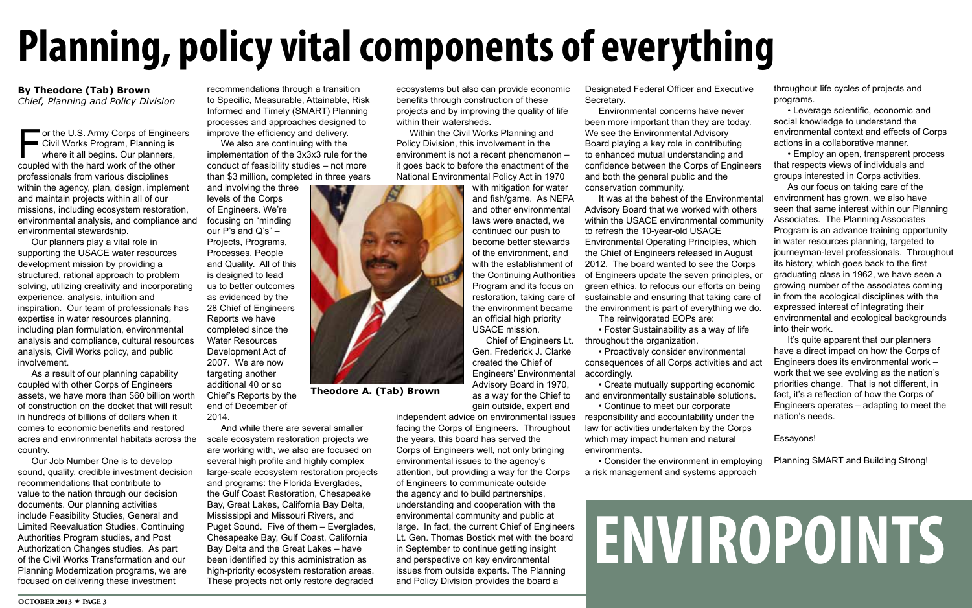ecosystems but also can provide economic benefits through construction of these projects and by improving the quality of life within their watersheds.

Within the Civil Works Planning and Policy Division, this involvement in the environment is not a recent phenomenon – it goes back to before the enactment of the National Environmental Policy Act in 1970

TOS

with mitigation for water and fish/game. As NEPA and other environmental laws were enacted, we continued our push to become better stewards of the environment, and with the establishment of the Continuing Authorities Program and its focus on restoration, taking care of the environment became an official high priority USACE mission.

Chief of Engineers Lt. Gen. Frederick J. Clarke created the Chief of Engineers' Environmental Advisory Board in 1970, as a way for the Chief to gain outside, expert and

■ or the U.S. Army Corps of Engineers Civil Works Program, Planning is where it all begins. Our planners, coupled with the hard work of the other professionals from various disciplines within the agency, plan, design, implement and maintain projects within all of our missions, including ecosystem restoration, environmental analysis, and compliance and environmental stewardship.

> independent advice on environmental issues facing the Corps of Engineers. Throughout the years, this board has served the Corps of Engineers well, not only bringing environmental issues to the agency's attention, but providing a way for the Corps of Engineers to communicate outside the agency and to build partnerships, understanding and cooperation with the environmental community and public at large. In fact, the current Chief of Engineers Lt. Gen. Thomas Bostick met with the board in September to continue getting insight and perspective on key environmental issues from outside experts. The Planning

and Policy Division provides the board a

# **ENVIROPOINTS**

## **Planning, policy vital components of everything**

## **By Theodore (Tab) Brown**

*Chief, Planning and Policy Division*

Our planners play a vital role in supporting the USACE water resources development mission by providing a structured, rational approach to problem solving, utilizing creativity and incorporating experience, analysis, intuition and inspiration. Our team of professionals has expertise in water resources planning, including plan formulation, environmental analysis and compliance, cultural resources analysis, Civil Works policy, and public involvement.

As a result of our planning capability coupled with other Corps of Engineers assets, we have more than \$60 billion worth of construction on the docket that will result in hundreds of billions of dollars when it comes to economic benefits and restored acres and environmental habitats across the country.

Our Job Number One is to develop sound, quality, credible investment decision recommendations that contribute to value to the nation through our decision documents. Our planning activities include Feasibility Studies, General and Limited Reevaluation Studies, Continuing Authorities Program studies, and Post Authorization Changes studies. As part of the Civil Works Transformation and our Planning Modernization programs, we are focused on delivering these investment

Designated Federal Officer and Executive Secretary.

Environmental concerns have never been more important than they are today. We see the Environmental Advisory Board playing a key role in contributing to enhanced mutual understanding and confidence between the Corps of Engineers and both the general public and the

throughout the organization.

• Proactively consider environmental consequences of all Corps activities and act accordingly.

• Create mutually supporting economic • Continue to meet our corporate

and environmentally sustainable solutions. responsibility and accountability under the law for activities undertaken by the Corps which may impact human and natural environments.

conservation community. It was at the behest of the Environmental Advisory Board that we worked with others within the USACE environmental community to refresh the 10-year-old USACE Environmental Operating Principles, which the Chief of Engineers released in August 2012. The board wanted to see the Corps of Engineers update the seven principles, or green ethics, to refocus our efforts on being sustainable and ensuring that taking care of the environment is part of everything we do. The reinvigorated EOPs are: • Foster Sustainability as a way of life As our focus on taking care of the environment has grown, we also have seen that same interest within our Planning Associates. The Planning Associates Program is an advance training opportunity in water resources planning, targeted to journeyman-level professionals. Throughout its history, which goes back to the first graduating class in 1962, we have seen a growing number of the associates coming in from the ecological disciplines with the expressed interest of integrating their environmental and ecological backgrounds into their work.

• Consider the environment in employing a risk management and systems approach



throughout life cycles of projects and programs.

• Leverage scientific, economic and social knowledge to understand the environmental context and effects of Corps actions in a collaborative manner.

• Employ an open, transparent process that respects views of individuals and groups interested in Corps activities.

It's quite apparent that our planners have a direct impact on how the Corps of Engineers does its environmental work – work that we see evolving as the nation's priorities change. That is not different, in fact, it's a reflection of how the Corps of Engineers operates – adapting to meet the nation's needs.

Essayons!

Planning SMART and Building Strong!

recommendations through a transition to Specific, Measurable, Attainable, Risk Informed and Timely (SMART) Planning processes and approaches designed to improve the efficiency and delivery.

We also are continuing with the implementation of the 3x3x3 rule for the conduct of feasibility studies – not more than \$3 million, completed in three years

and involving the three levels of the Corps of Engineers. We're focusing on "minding our  $P$ 's and  $Q$ 's"  $-$ Projects, Programs, Processes, People and Quality. All of this is designed to lead us to better outcomes as evidenced by the 28 Chief of Engineers Reports we have completed since the Water Resources Development Act of 2007. We are now targeting another additional 40 or so Chief's Reports by the end of December of 2014.

And while there are several smaller scale ecosystem restoration projects we are working with, we also are focused on several high profile and highly complex large-scale ecosystem restoration projects and programs: the Florida Everglades, the Gulf Coast Restoration, Chesapeake Bay, Great Lakes, California Bay Delta, Mississippi and Missouri Rivers, and Puget Sound. Five of them – Everglades, Chesapeake Bay, Gulf Coast, California Bay Delta and the Great Lakes – have been identified by this administration as high-priority ecosystem restoration areas. These projects not only restore degraded

**Theodore A. (Tab) Brown**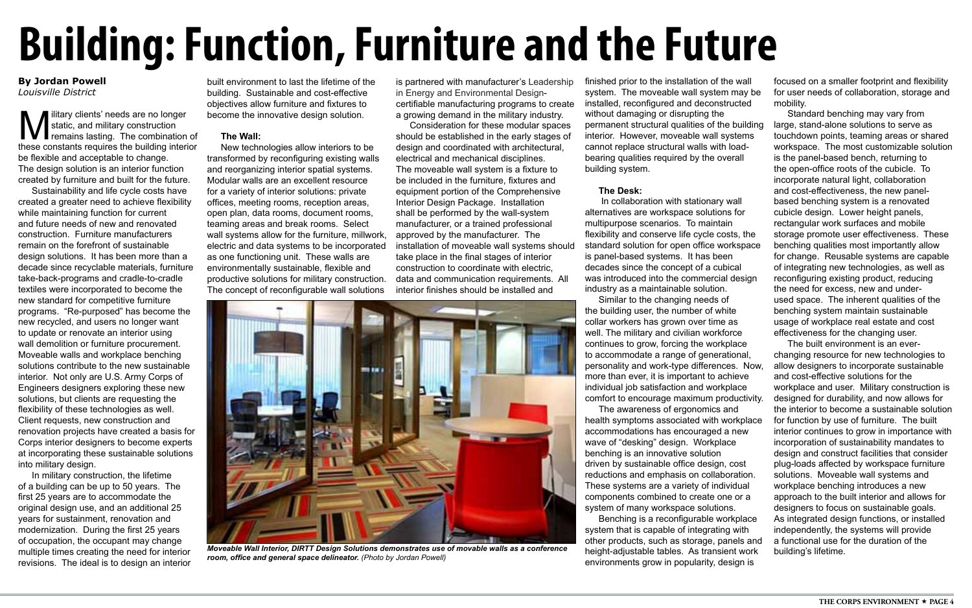**M** liltary clients' needs are no longer<br>static, and military construction<br>these constants requires the building interior static, and military construction remains lasting. The combination of these constants requires the building interior be flexible and acceptable to change. The design solution is an interior function created by furniture and built for the future.

Sustainability and life cycle costs have created a greater need to achieve flexibility while maintaining function for current and future needs of new and renovated construction. Furniture manufacturers remain on the forefront of sustainable design solutions. It has been more than a decade since recyclable materials, furniture take-back-programs and cradle-to-cradle textiles were incorporated to become the new standard for competitive furniture programs. "Re-purposed" has become the new recycled, and users no longer want to update or renovate an interior using wall demolition or furniture procurement. Moveable walls and workplace benching solutions contribute to the new sustainable interior. Not only are U.S. Army Corps of Engineers designers exploring these new solutions, but clients are requesting the flexibility of these technologies as well. Client requests, new construction and renovation projects have created a basis for Corps interior designers to become experts at incorporating these sustainable solutions into military design.

In military construction, the lifetime of a building can be up to 50 years. The first 25 years are to accommodate the original design use, and an additional 25 years for sustainment, renovation and modernization. During the first 25 years of occupation, the occupant may change multiple times creating the need for interior revisions. The ideal is to design an interior

## <span id="page-3-0"></span>**Building: Function, Furniture and the Future**

built environment to last the lifetime of the building. Sustainable and cost-effective objectives allow furniture and fixtures to become the innovative design solution.

## **The Wall:**

New technologies allow interiors to be transformed by reconfiguring existing walls and reorganizing interior spatial systems. Modular walls are an excellent resource for a variety of interior solutions: private offices, meeting rooms, reception areas, open plan, data rooms, document rooms, teaming areas and break rooms. Select wall systems allow for the furniture, millwork, electric and data systems to be incorporated as one functioning unit. These walls are environmentally sustainable, flexible and productive solutions for military construction. The concept of reconfigurable wall solutions

is partnered with manufacturer's Leadership in Energy and Environmental Designcertifiable manufacturing programs to create a growing demand in the military industry.

Consideration for these modular spaces should be established in the early stages of design and coordinated with architectural, electrical and mechanical disciplines. The moveable wall system is a fixture to be included in the furniture, fixtures and equipment portion of the Comprehensive Interior Design Package. Installation shall be performed by the wall-system manufacturer, or a trained professional approved by the manufacturer. The installation of moveable wall systems should take place in the final stages of interior construction to coordinate with electric, data and communication requirements. All interior finishes should be installed and

continues to grow, forcing the workplace to accommodate a range of generational, personality and work-type differences. Now, more than ever, it is important to achieve individual job satisfaction and workplace comfort to encourage maximum productivity. The awareness of ergonomics and health symptoms associated with workplace accommodations has encouraged a new wave of "desking" design. Workplace benching is an innovative solution driven by sustainable office design, cost reductions and emphasis on collaboration. These systems are a variety of individual components combined to create one or a system of many workspace solutions. Benching is a reconfigurable workplace system that is capable of integrating with other products, such as storage, panels and height-adjustable tables. As transient work

finished prior to the installation of the wall system. The moveable wall system may be installed, reconfigured and deconstructed without damaging or disrupting the permanent structural qualities of the building interior. However, moveable wall systems cannot replace structural walls with loadbearing qualities required by the overall building system. **The Desk:** In collaboration with stationary wall alternatives are workspace solutions for multipurpose scenarios. To maintain flexibility and conserve life cycle costs, the standard solution for open office workspace is panel-based systems. It has been decades since the concept of a cubical was introduced into the commercial design industry as a maintainable solution. Similar to the changing needs of the building user, the number of white collar workers has grown over time as well. The military and civilian workforce focused on a smaller footprint and flexibility for user needs of collaboration, storage and mobility. Standard benching may vary from large, stand-alone solutions to serve as touchdown points, teaming areas or shared workspace. The most customizable solution is the panel-based bench, returning to the open-office roots of the cubicle. To incorporate natural light, collaboration and cost-effectiveness, the new panelbased benching system is a renovated cubicle design. Lower height panels, rectangular work surfaces and mobile storage promote user effectiveness. These benching qualities most importantly allow for change. Reusable systems are capable of integrating new technologies, as well as reconfiguring existing product, reducing the need for excess, new and underused space. The inherent qualities of the benching system maintain sustainable usage of workplace real estate and cost effectiveness for the changing user.

environments grow in popularity, design is

The built environment is an everchanging resource for new technologies to allow designers to incorporate sustainable and cost-effective solutions for the workplace and user. Military construction is designed for durability, and now allows for the interior to become a sustainable solution for function by use of furniture. The built interior continues to grow in importance with incorporation of sustainability mandates to design and construct facilities that consider plug-loads affected by workspace furniture solutions. Moveable wall systems and workplace benching introduces a new approach to the built interior and allows for designers to focus on sustainable goals. As integrated design functions, or installed independently, the systems will provide a functional use for the duration of the building's lifetime.

### **By Jordan Powell**  *Louisville District*



*Moveable Wall Interior, DIRTT Design Solutions demonstrates use of movable walls as a conference room, office and general space delineator. (Photo by Jordan Powell)*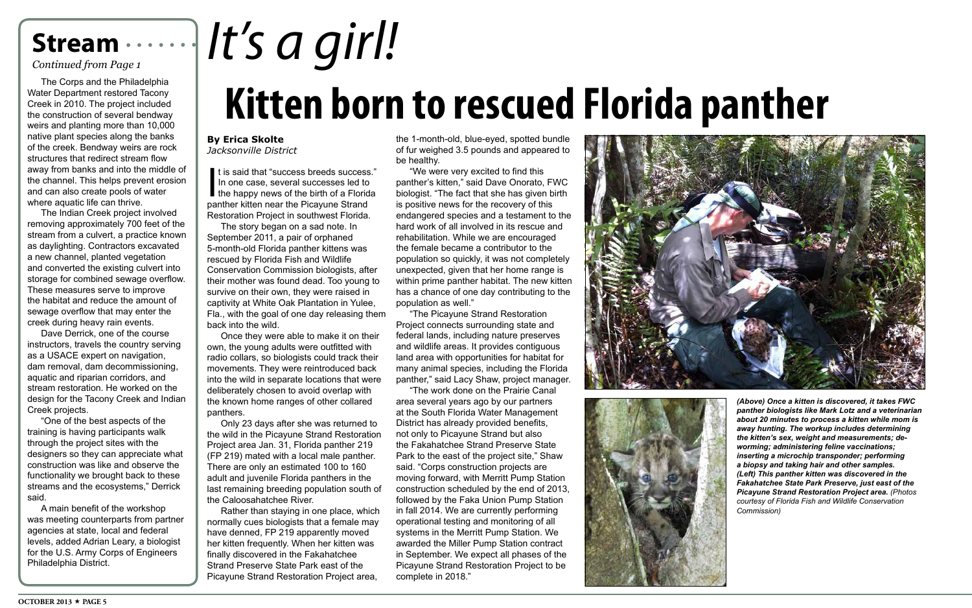## **Stream**

## *Continued from Page 1*

### **By Erica Skolte** *Jacksonville District*

The Corps and the Philadelphia Water Department restored Tacony Creek in 2010. The project included the construction of several bendway weirs and planting more than 10,000 native plant species along the banks of the creek. Bendway weirs are rock structures that redirect stream flow away from banks and into the middle of the channel. This helps prevent erosion and can also create pools of water where aquatic life can thrive.

The Indian Creek project involved removing approximately 700 feet of the stream from a culvert, a practice known as daylighting. Contractors excavated a new channel, planted vegetation and converted the existing culvert into storage for combined sewage overflow. These measures serve to improve the habitat and reduce the amount of sewage overflow that may enter the creek during heavy rain events.

It is said that "success breeds success<br>In one case, several successes led to<br>the happy news of the birth of a Florid<br>panther kitten near the Picayune Strand It is said that "success breeds success." In one case, several successes led to  $\blacksquare$  the happy news of the birth of a Florida Restoration Project in southwest Florida.

Dave Derrick, one of the course instructors, travels the country serving as a USACE expert on navigation, dam removal, dam decommissioning, aquatic and riparian corridors, and stream restoration. He worked on the design for the Tacony Creek and Indian Creek projects.

"One of the best aspects of the training is having participants walk through the project sites with the designers so they can appreciate what construction was like and observe the functionality we brought back to these streams and the ecosystems," Derrick said.

A main benefit of the workshop was meeting counterparts from partner agencies at state, local and federal levels, added Adrian Leary, a biologist for the U.S. Army Corps of Engineers Philadelphia District.

The story began on a sad note. In September 2011, a pair of orphaned 5-month-old Florida panther kittens was rescued by Florida Fish and Wildlife Conservation Commission biologists, after their mother was found dead. Too young to survive on their own, they were raised in captivity at White Oak Plantation in Yulee, Fla., with the goal of one day releasing them back into the wild.

## **Kitten born to rescued Florida panther** *It's a girl!*

Once they were able to make it on their own, the young adults were outfitted with radio collars, so biologists could track their movements. They were reintroduced back into the wild in separate locations that were deliberately chosen to avoid overlap with the known home ranges of other collared panthers.

Only 23 days after she was returned to the wild in the Picayune Strand Restoration Project area Jan. 31, Florida panther 219 (FP 219) mated with a local male panther. There are only an estimated 100 to 160 adult and juvenile Florida panthers in the last remaining breeding population south of the Caloosahatchee River.

Rather than staying in one place, which normally cues biologists that a female may have denned, FP 219 apparently moved her kitten frequently. When her kitten was finally discovered in the Fakahatchee Strand Preserve State Park east of the Picayune Strand Restoration Project area,

the 1-month-old, blue-eyed, spotted bundle of fur weighed 3.5 pounds and appeared to be healthy.

"We were very excited to find this panther's kitten," said Dave Onorato, FWC biologist. "The fact that she has given birth is positive news for the recovery of this endangered species and a testament to the hard work of all involved in its rescue and rehabilitation. While we are encouraged the female became a contributor to the population so quickly, it was not completely unexpected, given that her home range is within prime panther habitat. The new kitten has a chance of one day contributing to the population as well."

"The Picayune Strand Restoration Project connects surrounding state and federal lands, including nature preserves and wildlife areas. It provides contiguous land area with opportunities for habitat for many animal species, including the Florida panther," said Lacy Shaw, project manager.

"The work done on the Prairie Canal area several years ago by our partners at the South Florida Water Management District has already provided benefits, not only to Picayune Strand but also the Fakahatchee Strand Preserve State Park to the east of the project site," Shaw said. "Corps construction projects are moving forward, with Merritt Pump Station construction scheduled by the end of 2013, followed by the Faka Union Pump Station in fall 2014. We are currently performing operational testing and monitoring of all systems in the Merritt Pump Station. We awarded the Miller Pump Station contract in September. We expect all phases of the Picayune Strand Restoration Project to be complete in 2018."





*(Above) Once a kitten is discovered, it takes FWC panther biologists like Mark Lotz and a veterinarian about 20 minutes to process a kitten while mom is away hunting. The workup includes determining the kitten's sex, weight and measurements; deworming; administering feline vaccinations; inserting a microchip transponder; performing a biopsy and taking hair and other samples. (Left) This panther kitten was discovered in the Fakahatchee State Park Preserve, just east of the Picayune Strand Restoration Project area. (Photos courtesy of Florida Fish and Wildlife Conservation Commission)*

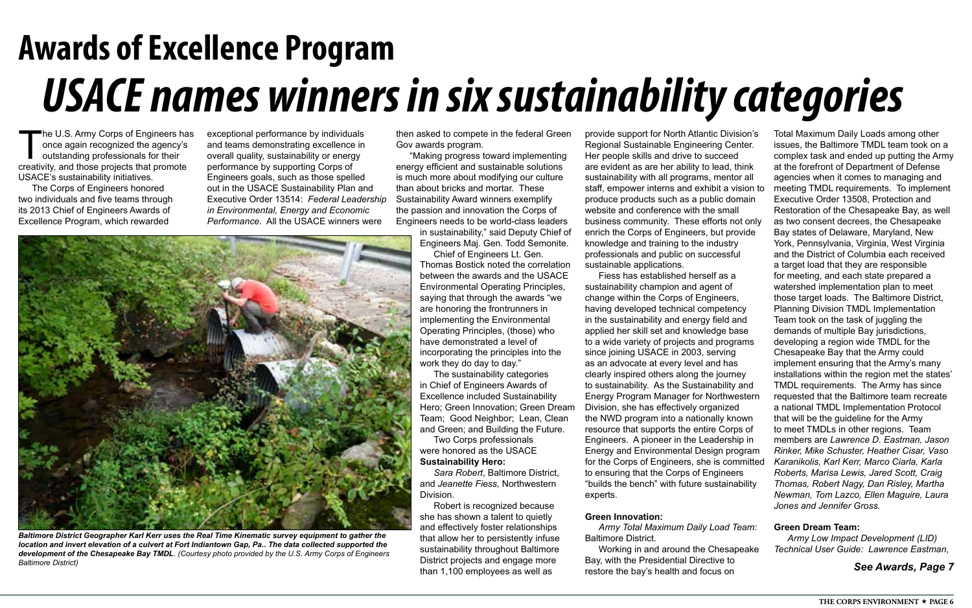## **Awards of Excellence Program** *USACE names winners in six sustainability categories*

The U.S. Army Corps of Engineers has<br>
once again recognized the agency's<br>
creativity, and those projects that promote once again recognized the agency's outstanding professionals for their USACE's sustainability initiatives.

The Corps of Engineers honored two individuals and five teams through its 2013 Chief of Engineers Awards of Excellence Program, which rewarded

exceptional performance by individuals and teams demonstrating excellence in overall quality, sustainability or energy performance by supporting Corps of Engineers goals, such as those spelled out in the USACE Sustainability Plan and Executive Order 13514: *Federal Leadership in Environmental, Energy and Economic Performance*. All the USACE winners were

then asked to compete in the federal Green Gov awards program.

"Making progress toward implementing energy efficient and sustainable solutions is much more about modifying our culture than about bricks and mortar. These Sustainability Award winners exemplify the passion and innovation the Corps of Engineers needs to be world-class leaders

> in sustainability," said Deputy Chief of Engineers Maj. Gen. Todd Semonite.

> Chief of Engineers Lt. Gen. Thomas Bostick noted the correlation between the awards and the USACE Environmental Operating Principles, saying that through the awards "we are honoring the frontrunners in implementing the Environmental Operating Principles, (those) who have demonstrated a level of incorporating the principles into the work they do day to day."

The sustainability categories in Chief of Engineers Awards of Excellence included Sustainability Hero; Green Innovation; Green Dream Team; Good Neighbor; Lean, Clean and Green; and Building the Future.

Two Corps professionals were honored as the USACE **Sustainability Hero:**

*Sara Robert*, Baltimore District, and *Jeanette Fiess,* Northwestern Division.

Robert is recognized because she has shown a talent to quietly and effectively foster relationships that allow her to persistently infuse sustainability throughout Baltimore District projects and engage more than 1,100 employees as well as

sustainability champion and agent of change within the Corps of Engineers, having developed technical competency in the sustainability and energy field and applied her skill set and knowledge base to a wide variety of projects and programs since joining USACE in 2003, serving as an advocate at every level and has clearly inspired others along the journey to sustainability. As the Sustainability and Energy Program Manager for Northwestern Division, she has effectively organized the NWD program into a nationally known resource that supports the entire Corps of Engineers. A pioneer in the Leadership in Energy and Environmental Design program to ensuring that the Corps of Engineers "builds the bench" with future sustainability experts.

### **Green Innovation:**

*Army Total Maximum Daily Load Team:*  Baltimore District.

provide support for North Atlantic Division's Regional Sustainable Engineering Center. Her people skills and drive to succeed are evident as are her ability to lead, think sustainability with all programs, mentor all staff, empower interns and exhibit a vision to produce products such as a public domain website and conference with the small business community. These efforts not only enrich the Corps of Engineers, but provide knowledge and training to the industry professionals and public on successful sustainable applications. Fiess has established herself as a for the Corps of Engineers, she is committed Total Maximum Daily Loads among other issues, the Baltimore TMDL team took on a complex task and ended up putting the Army at the forefront of Department of Defense agencies when it comes to managing and meeting TMDL requirements. To implement Executive Order 13508, Protection and Restoration of the Chesapeake Bay, as well as two consent decrees, the Chesapeake Bay states of Delaware, Maryland, New York, Pennsylvania, Virginia, West Virginia and the District of Columbia each received a target load that they are responsible for meeting, and each state prepared a watershed implementation plan to meet those target loads. The Baltimore District, Planning Division TMDL Implementation Team took on the task of juggling the demands of multiple Bay jurisdictions, developing a region wide TMDL for the Chesapeake Bay that the Army could implement ensuring that the Army's many installations within the region met the states' TMDL requirements. The Army has since requested that the Baltimore team recreate a national TMDL Implementation Protocol that will be the guideline for the Army to meet TMDLs in other regions. Team members are *Lawrence D. Eastman, Jason Rinker, Mike Schuster, Heather Cisar, Vaso Karanikolis, Karl Kerr, Marco Ciarla, Karla Roberts, Marisa Lewis, Jared Scott, Craig Thomas, Robert Nagy, Dan Risley, Martha Newman, Tom Lazco, Ellen Maguire, Laura Jones and Jennifer Gross.*

Working in and around the Chesapeake Bay, with the Presidential Directive to restore the bay's health and focus on

## **Green Dream Team:**

*Army Low Impact Development (LID) Technical User Guide: Lawrence Eastman*,

## *See Awards, Page 7*



*Baltimore District Geographer Karl Kerr uses the Real Time Kinematic survey equipment to gather the location and invert elevation of a culvert at Fort Indiantown Gap, Pa.. The data collected supported the development of the Chesapeake Bay TMDL*. *(Courtesy photo provided by the U.S. Army Corps of Engineers Baltimore District)*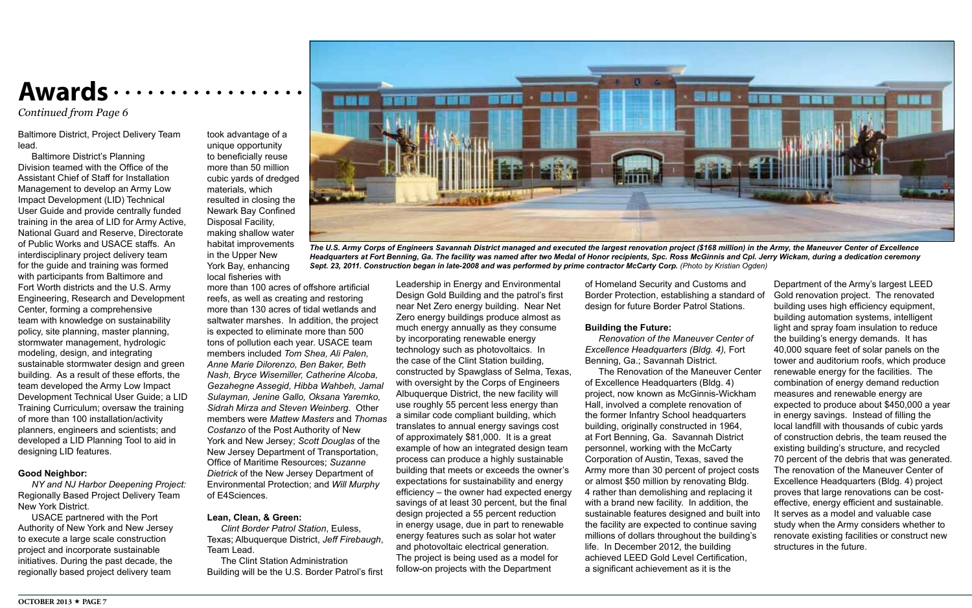Baltimore District, Project Delivery Team lead.

Baltimore District's Planning Division teamed with the Office of the Assistant Chief of Staff for Installation Management to develop an Army Low Impact Development (LID) Technical User Guide and provide centrally funded training in the area of LID for Army Active, National Guard and Reserve, Directorate of Public Works and USACE staffs. An interdisciplinary project delivery team for the guide and training was formed with participants from Baltimore and Fort Worth districts and the U.S. Army Engineering, Research and Development Center, forming a comprehensive team with knowledge on sustainability policy, site planning, master planning, stormwater management, hydrologic modeling, design, and integrating sustainable stormwater design and green building. As a result of these efforts, the team developed the Army Low Impact Development Technical User Guide; a LID Training Curriculum; oversaw the training of more than 100 installation/activity planners, engineers and scientists; and developed a LID Planning Tool to aid in designing LID features.

### **Good Neighbor:**

*NY and NJ Harbor Deepening Project:*  Regionally Based Project Delivery Team New York District.

USACE partnered with the Port Authority of New York and New Jersey to execute a large scale construction project and incorporate sustainable initiatives. During the past decade, the regionally based project delivery team

took advantage of a unique opportunity to beneficially reuse more than 50 million cubic yards of dredged materials, which resulted in closing the Newark Bay Confined Disposal Facility, making shallow water habitat improvements in the Upper New York Bay, enhancing local fisheries with

more than 100 acres of offshore artificial reefs, as well as creating and restoring more than 130 acres of tidal wetlands and saltwater marshes. In addition, the project is expected to eliminate more than 500 tons of pollution each year. USACE team members included *Tom Shea, Ali Palen, Anne Marie Dilorenzo, Ben Baker, Beth Nash, Bryce Wisemiller, Catherine Alcoba, Gezahegne Assegid, Hibba Wahbeh, Jamal Sulayman, Jenine Gallo, Oksana Yaremko, Sidrah Mirza and Steven Weinberg.* Other members were *Mattew Masters* and *Thomas Costanzo* of the Post Authority of New York and New Jersey; *Scott Douglas* of the New Jersey Department of Transportation, Office of Maritime Resources; *Suzanne Dietrick* of the New Jersey Department of Environmental Protection; and *Will Murphy*  of E4Sciences.

### **Lean, Clean, & Green:**

*Clint Border Patrol Station*, Euless, Texas; Albuquerque District, *Jeff Firebaugh*, Team Lead.

The Clint Station Administration Building will be the U.S. Border Patrol's first Leadership in Energy and Environmental Design Gold Building and the patrol's first near Net Zero energy building. Near Net Zero energy buildings produce almost as much energy annually as they consume by incorporating renewable energy technology such as photovoltaics. In the case of the Clint Station building, constructed by Spawglass of Selma, Texas, with oversight by the Corps of Engineers Albuquerque District, the new facility will use roughly 55 percent less energy than a similar code compliant building, which translates to annual energy savings cost of approximately \$81,000. It is a great example of how an integrated design team process can produce a highly sustainable building that meets or exceeds the owner's expectations for sustainability and energy efficiency – the owner had expected energy savings of at least 30 percent, but the final design projected a 55 percent reduction in energy usage, due in part to renewable energy features such as solar hot water and photovoltaic electrical generation. The project is being used as a model for follow-on projects with the Department

achieved LEED Gold Level Certification, a significant achievement as it is the

## **Awards**

of Homeland Security and Customs and Border Protection, establishing a standard of design for future Border Patrol Stations. **Building the Future:** *Renovation of the Maneuver Center of Excellence Headquarters (Bldg. 4),* Fort Benning, Ga.; Savannah District. The Renovation of the Maneuver Center of Excellence Headquarters (Bldg. 4) project, now known as McGinnis-Wickham Hall, involved a complete renovation of the former Infantry School headquarters building, originally constructed in 1964, at Fort Benning, Ga. Savannah District personnel, working with the McCarty Corporation of Austin, Texas, saved the Army more than 30 percent of project costs or almost \$50 million by renovating Bldg. 4 rather than demolishing and replacing it with a brand new facility. In addition, the sustainable features designed and built into the facility are expected to continue saving millions of dollars throughout the building's life. In December 2012, the building Department of the Army's largest LEED Gold renovation project. The renovated building uses high efficiency equipment, building automation systems, intelligent light and spray foam insulation to reduce the building's energy demands. It has 40,000 square feet of solar panels on the tower and auditorium roofs, which produce renewable energy for the facilities. The combination of energy demand reduction measures and renewable energy are expected to produce about \$450,000 a year in energy savings. Instead of filling the local landfill with thousands of cubic yards of construction debris, the team reused the existing building's structure, and recycled 70 percent of the debris that was generated. The renovation of the Maneuver Center of Excellence Headquarters (Bldg. 4) project proves that large renovations can be costeffective, energy efficient and sustainable. It serves as a model and valuable case study when the Army considers whether to renovate existing facilities or construct new structures in the future.

*Continued from Page 6*

*The U.S. Army Corps of Engineers Savannah District managed and executed the largest renovation project (\$168 million) in the Army, the Maneuver Center of Excellence Headquarters at Fort Benning, Ga. The facility was named after two Medal of Honor recipients, Spc. Ross McGinnis and Cpl. Jerry Wickam, during a dedication ceremony Sept. 23, 2011. Construction began in late-2008 and was performed by prime contractor McCarty Corp. (Photo by Kristian Ogden)*

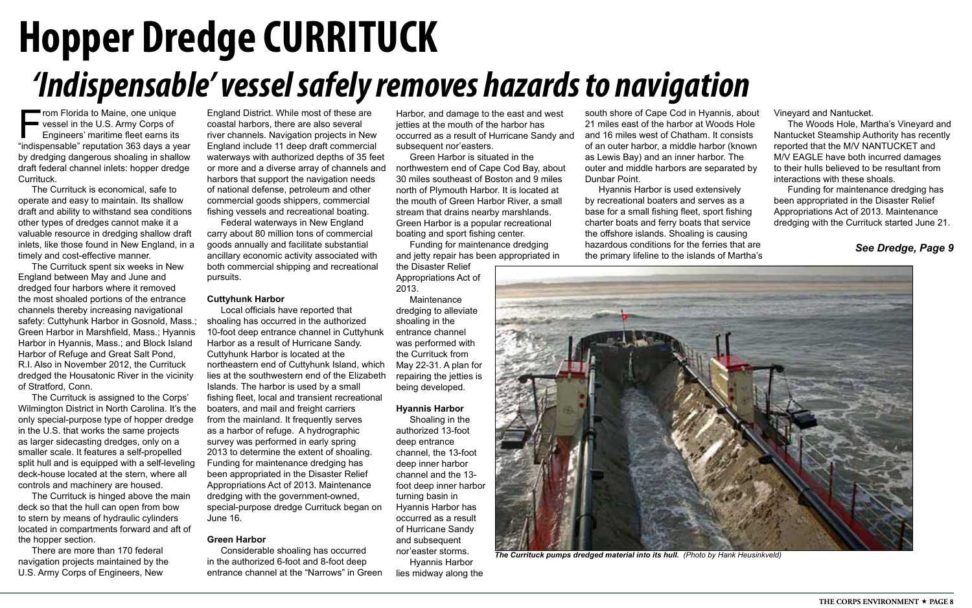Harbor, and damage to the east and west jetties at the mouth of the harbor has occurred as a result of Hurricane Sandy and subsequent nor'easters.

Green Harbor is situated in the northwestern end of Cape Cod Bay, about 30 miles southeast of Boston and 9 miles north of Plymouth Harbor. It is located at the mouth of Green Harbor River, a small stream that drains nearby marshlands. Green Harbor is a popular recreational boating and sport fishing center.

Funding for maintenance dredging and jetty repair has been appropriated in

the Disaster Relief Appropriations Act of 2013.

Maintenance dredging to alleviate shoaling in the entrance channel was performed with the Currituck from May 22-31. A plan for repairing the jetties is being developed.

From Florida to Maine, one unique<br>vessel in the U.S. Army Corps of<br>Engineers' maritime fleet earns its<br>"indispensable" reputation 363 days a ve vessel in the U.S. Army Corps of Engineers' maritime fleet earns its "indispensable" reputation 363 days a year by dredging dangerous shoaling in shallow draft federal channel inlets: hopper dredge Currituck.

### **Hyannis Harbor**

Shoaling in the authorized 13-foot deep entrance channel, the 13-foot deep inner harbor channel and the 13 foot deep inner harbor turning basin in Hyannis Harbor has occurred as a result of Hurricane Sandy and subsequent nor'easter storms.

Hyannis Harbor lies midway along the

## *'Indispensable' vessel safely removes hazards to navigation* **Hopper Dredge CURRITUCK**

## *See Dredge, Page 9*

The Currituck is economical, safe to operate and easy to maintain. Its shallow draft and ability to withstand sea conditions other types of dredges cannot make it a valuable resource in dredging shallow draft inlets, like those found in New England, in a timely and cost-effective manner.

The Currituck spent six weeks in New England between May and June and dredged four harbors where it removed the most shoaled portions of the entrance channels thereby increasing navigational safety: Cuttyhunk Harbor in Gosnold, Mass.; Green Harbor in Marshfield, Mass.; Hyannis Harbor in Hyannis, Mass.; and Block Island Harbor of Refuge and Great Salt Pond, R.I. Also in November 2012, the Currituck dredged the Housatonic River in the vicinity of Stratford, Conn.

The Currituck is assigned to the Corps' Wilmington District in North Carolina. It's the only special-purpose type of hopper dredge in the U.S. that works the same projects as larger sidecasting dredges, only on a smaller scale. It features a self-propelled split hull and is equipped with a self-leveling deck-house located at the stern, where all controls and machinery are housed.

The Currituck is hinged above the main deck so that the hull can open from bow to stern by means of hydraulic cylinders located in compartments forward and aft of the hopper section.

There are more than 170 federal navigation projects maintained by the U.S. Army Corps of Engineers, New

England District. While most of these are coastal harbors, there are also several river channels. Navigation projects in New England include 11 deep draft commercial waterways with authorized depths of 35 feet or more and a diverse array of channels and harbors that support the navigation needs of national defense, petroleum and other commercial goods shippers, commercial fishing vessels and recreational boating.

Federal waterways in New England carry about 80 million tons of commercial goods annually and facilitate substantial ancillary economic activity associated with both commercial shipping and recreational pursuits.

### **Cuttyhunk Harbor**

Local officials have reported that shoaling has occurred in the authorized 10-foot deep entrance channel in Cuttyhunk Harbor as a result of Hurricane Sandy. Cuttyhunk Harbor is located at the northeastern end of Cuttyhunk Island, which lies at the southwestern end of the Elizabeth Islands. The harbor is used by a small fishing fleet, local and transient recreational boaters, and mail and freight carriers from the mainland. It frequently serves as a harbor of refuge. A hydrographic survey was performed in early spring 2013 to determine the extent of shoaling. Funding for maintenance dredging has been appropriated in the Disaster Relief Appropriations Act of 2013. Maintenance dredging with the government-owned, special-purpose dredge Currituck began on June 16.

### **Green Harbor**

Considerable shoaling has occurred in the authorized 6-foot and 8-foot deep entrance channel at the "Narrows" in Green south shore of Cape Cod in Hyannis, about 21 miles east of the harbor at Woods Hole and 16 miles west of Chatham. It consists of an outer harbor, a middle harbor (known as Lewis Bay) and an inner harbor. The outer and middle harbors are separated by Dunbar Point.

Hyannis Harbor is used extensively by recreational boaters and serves as a base for a small fishing fleet, sport fishing charter boats and ferry boats that service the offshore islands. Shoaling is causing hazardous conditions for the ferries that are the primary lifeline to the islands of Martha's Vineyard and Nantucket.

The Woods Hole, Martha's Vineyard and Nantucket Steamship Authority has recently reported that the M/V NANTUCKET and M/V EAGLE have both incurred damages to their hulls believed to be resultant from interactions with these shoals.

Funding for maintenance dredging has been appropriated in the Disaster Relief Appropriations Act of 2013. Maintenance dredging with the Currituck started June 21.



*The Currituck pumps dredged material into its hull. (Photo by Hank Heusinkveld)*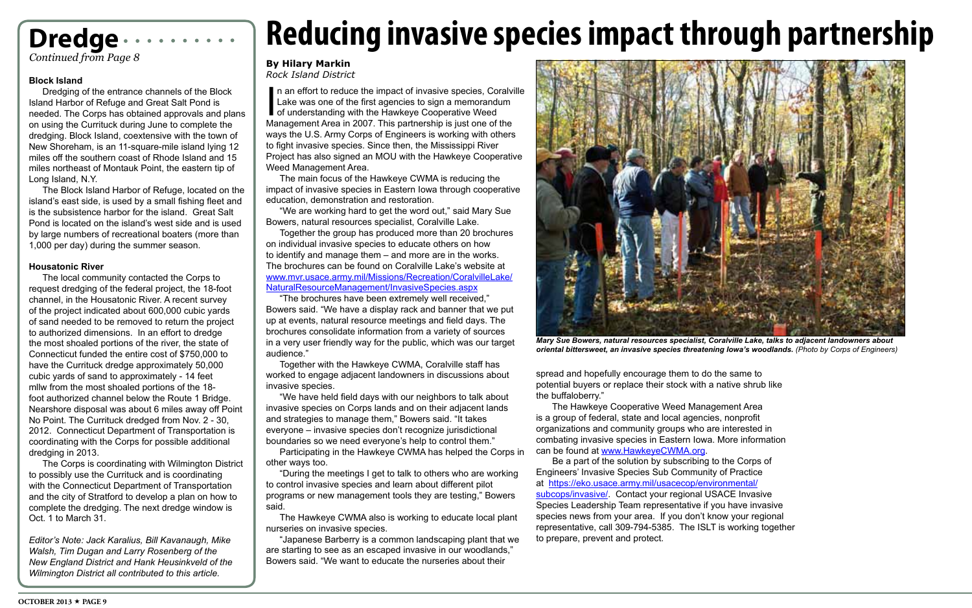## **Dredge**

*Continued from Page 8*



*Mary Sue Bowers, natural resources specialist, Coralville Lake, talks to adjacent landowners about oriental bittersweet, an invasive species threatening Iowa's woodlands. (Photo by Corps of Engineers)*

## **Reducing invasive species impact through partnership**

## **By Hilary Markin**

*Rock Island District* **Block Island**

Dredging of the entrance channels of the Block Island Harbor of Refuge and Great Salt Pond is needed. The Corps has obtained approvals and plans on using the Currituck during June to complete the dredging. Block Island, coextensive with the town of New Shoreham, is an 11-square-mile island lying 12 miles off the southern coast of Rhode Island and 15 miles northeast of Montauk Point, the eastern tip of Long Island, N.Y.

The Block Island Harbor of Refuge, located on the island's east side, is used by a small fishing fleet and is the subsistence harbor for the island. Great Salt Pond is located on the island's west side and is used by large numbers of recreational boaters (more than 1,000 per day) during the summer season.

### **Housatonic River**

In an effort to reduce the impact of invasive species, Coralvi<br>Lake was one of the first agencies to sign a memorandum<br>of understanding with the Hawkeye Cooperative Weed<br>Management Area in 2007. This partnership is just on n an effort to reduce the impact of invasive species, Coralville Lake was one of the first agencies to sign a memorandum of understanding with the Hawkeye Cooperative Weed ways the U.S. Army Corps of Engineers is working with others to fight invasive species. Since then, the Mississippi River Project has also signed an MOU with the Hawkeye Cooperative Weed Management Area.

The local community contacted the Corps to request dredging of the federal project, the 18-foot channel, in the Housatonic River. A recent survey of the project indicated about 600,000 cubic yards of sand needed to be removed to return the project to authorized dimensions. In an effort to dredge the most shoaled portions of the river, the state of Connecticut funded the entire cost of \$750,000 to have the Currituck dredge approximately 50,000 cubic yards of sand to approximately - 14 feet mllw from the most shoaled portions of the 18 foot authorized channel below the Route 1 Bridge. Nearshore disposal was about 6 miles away off Point No Point. The Currituck dredged from Nov. 2 - 30, 2012. Connecticut Department of Transportation is coordinating with the Corps for possible additional dredging in 2013.

The Corps is coordinating with Wilmington District to possibly use the Currituck and is coordinating with the Connecticut Department of Transportation and the city of Stratford to develop a plan on how to complete the dredging. The next dredge window is Oct. 1 to March 31.

*Editor's Note: Jack Karalius, Bill Kavanaugh, Mike Walsh, Tim Dugan and Larry Rosenberg of the New England District and Hank Heusinkveld of the Wilmington District all contributed to this article.*

The main focus of the Hawkeye CWMA is reducing the impact of invasive species in Eastern Iowa through cooperative education, demonstration and restoration.

"We are working hard to get the word out," said Mary Sue Bowers, natural resources specialist, Coralville Lake.

Together the group has produced more than 20 brochures on individual invasive species to educate others on how to identify and manage them – and more are in the works. The brochures can be found on Coralville Lake's website at [www.mvr.usace.army.mil/Missions/Recreation/CoralvilleLake/](#page-3-0) [NaturalResourceManagement/InvasiveSpecies.aspx](#page-3-0)

"The brochures have been extremely well received," Bowers said. "We have a display rack and banner that we put up at events, natural resource meetings and field days. The brochures consolidate information from a variety of sources in a very user friendly way for the public, which was our target audience."

Together with the Hawkeye CWMA, Coralville staff has worked to engage adjacent landowners in discussions about invasive species.

"We have held field days with our neighbors to talk about invasive species on Corps lands and on their adjacent lands and strategies to manage them," Bowers said. "It takes everyone – invasive species don't recognize jurisdictional boundaries so we need everyone's help to control them."

Participating in the Hawkeye CWMA has helped the Corps in other ways too.

"During the meetings I get to talk to others who are working to control invasive species and learn about different pilot programs or new management tools they are testing," Bowers said.

The Hawkeye CWMA also is working to educate local plant nurseries on invasive species.

"Japanese Barberry is a common landscaping plant that we are starting to see as an escaped invasive in our woodlands," Bowers said. "We want to educate the nurseries about their

spread and hopefully encourage them to do the same to potential buyers or replace their stock with a native shrub like the buffaloberry."

 The Hawkeye Cooperative Weed Management Area Be a part of the solution by subscribing to the Corps of

is a group of federal, state and local agencies, nonprofit organizations and community groups who are interested in combating invasive species in Eastern Iowa. More information can be found at www.HawkeyeCWMA.org. Engineers' Invasive Species Sub Community of Practice at https://eko.usace.army.mil/usacecop/environmental/ subcops/invasive/. Contact your regional USACE Invasive Species Leadership Team representative if you have invasive species news from your area. If you don't know your regional representative, call 309-794-5385. The ISLT is working together to prepare, prevent and protect.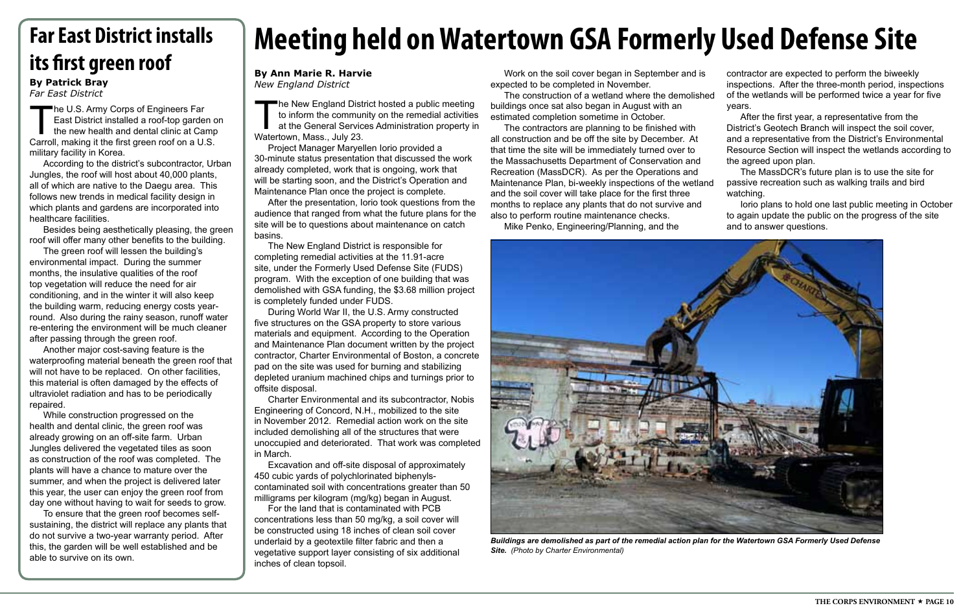## **By Ann Marie R. Harvie** *New England District*

## **Meeting held on Watertown GSA Formerly Used Defense Site**

The New England District hosted a public meeting<br>to inform the community on the remedial activities<br>at the General Services Administration property in<br>Watertown Mass July 23 to inform the community on the remedial activities at the General Services Administration property in Watertown, Mass., July 23.

Project Manager Maryellen Iorio provided a 30-minute status presentation that discussed the work already completed, work that is ongoing, work that will be starting soon, and the District's Operation and Maintenance Plan once the project is complete.

After the presentation, Iorio took questions from the audience that ranged from what the future plans for the site will be to questions about maintenance on catch basins.

The New England District is responsible for completing remedial activities at the 11.91-acre site, under the Formerly Used Defense Site (FUDS) program. With the exception of one building that was demolished with GSA funding, the \$3.68 million project is completely funded under FUDS.

During World War II, the U.S. Army constructed five structures on the GSA property to store various materials and equipment. According to the Operation and Maintenance Plan document written by the project contractor, Charter Environmental of Boston, a concrete pad on the site was used for burning and stabilizing depleted uranium machined chips and turnings prior to offsite disposal.

Charter Environmental and its subcontractor, Nobis Engineering of Concord, N.H., mobilized to the site in November 2012. Remedial action work on the site included demolishing all of the structures that were unoccupied and deteriorated. That work was completed in March.

Excavation and off-site disposal of approximately 450 cubic yards of polychlorinated biphenylscontaminated soil with concentrations greater than 50 milligrams per kilogram (mg/kg) began in August.

The U.S. Army Corps of Engineers Far East District installed a roof-top garden on the new health and dental clinic at Camp Carroll, making it the first green roof on a U.S. military facility in Korea.

> For the land that is contaminated with PCB concentrations less than 50 mg/kg, a soil cover will be constructed using 18 inches of clean soil cover underlaid by a geotextile filter fabric and then a vegetative support layer consisting of six additional inches of clean topsoil.

Work on the soil cover began in September and is expected to be completed in November.

The construction of a wetland where the demolished buildings once sat also began in August with an estimated completion sometime in October.

The contractors are planning to be finished with all construction and be off the site by December. At that time the site will be immediately turned over to the Massachusetts Department of Conservation and Recreation (MassDCR). As per the Operations and Maintenance Plan, bi-weekly inspections of the wetland and the soil cover will take place for the first three months to replace any plants that do not survive and also to perform routine maintenance checks.

Mike Penko, Engineering/Planning, and the



*Buildings are demolished as part of the remedial action plan for the Watertown GSA Formerly Used Defense Site. (Photo by Charter Environmental)*

contractor are expected to perform the biweekly inspections. After the three-month period, inspections of the wetlands will be performed twice a year for five years.

After the first year, a representative from the District's Geotech Branch will inspect the soil cover, and a representative from the District's Environmental Resource Section will inspect the wetlands according to the agreed upon plan.

The MassDCR's future plan is to use the site for passive recreation such as walking trails and bird watching.

Iorio plans to hold one last public meeting in October to again update the public on the progress of the site and to answer questions.

According to the district's subcontractor, Urban Jungles, the roof will host about 40,000 plants, all of which are native to the Daegu area. This follows new trends in medical facility design in which plants and gardens are incorporated into healthcare facilities.

Besides being aesthetically pleasing, the green roof will offer many other benefits to the building.

The green roof will lessen the building's environmental impact. During the summer months, the insulative qualities of the roof top vegetation will reduce the need for air conditioning, and in the winter it will also keep the building warm, reducing energy costs yearround. Also during the rainy season, runoff water re-entering the environment will be much cleaner after passing through the green roof.

Another major cost-saving feature is the waterproofing material beneath the green roof that will not have to be replaced. On other facilities, this material is often damaged by the effects of ultraviolet radiation and has to be periodically repaired.

While construction progressed on the health and dental clinic, the green roof was already growing on an off-site farm. Urban Jungles delivered the vegetated tiles as soon as construction of the roof was completed. The plants will have a chance to mature over the summer, and when the project is delivered later this year, the user can enjoy the green roof from day one without having to wait for seeds to grow.

To ensure that the green roof becomes selfsustaining, the district will replace any plants that do not survive a two-year warranty period. After this, the garden will be well established and be able to survive on its own.

## **Far East District installs its first green roof**

## **By Patrick Bray**

*Far East District*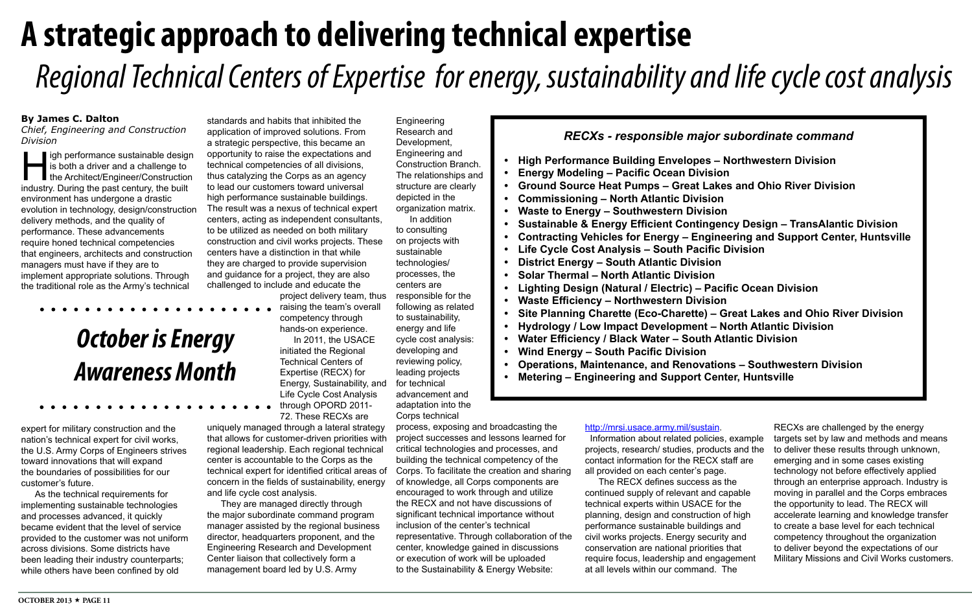## **By James C. Dalton**

*Chief, Engineering and Construction Division*

## **A strategic approach to delivering technical expertise**  *Regional Technical Centers of Expertise for energy, sustainability and life cycle cost analysis*

igh performance sustainable design is both a driver and a challenge to ■ the Architect/Engineer/Construction industry. During the past century, the built environment has undergone a drastic evolution in technology, design/construction delivery methods, and the quality of performance. These advancements require honed technical competencies that engineers, architects and construction managers must have if they are to implement appropriate solutions. Through the traditional role as the Army's technical

expert for military construction and the nation's technical expert for civil works, the U.S. Army Corps of Engineers strives toward innovations that will expand the boundaries of possibilities for our customer's future.

As the technical requirements for implementing sustainable technologies and processes advanced, it quickly became evident that the level of service provided to the customer was not uniform across divisions. Some districts have been leading their industry counterparts; while others have been confined by old

Engineering Research and Development, Engineering and Construction Branch. The relationships and structure are clearly depicted in the organization matrix. In addition to consulting

on projects with sustainable technologies/ processes, the centers are responsible for the following as related to sustainability, energy and life cycle cost analysis: developing and reviewing policy, leading projects for technical advancement and adaptation into the Corps technical

process, exposing and broadcasting the project successes and lessons learned for critical technologies and processes, and building the technical competency of the Corps. To facilitate the creation and sharing of knowledge, all Corps components are encouraged to work through and utilize the RECX and not have discussions of significant technical importance without inclusion of the center's technical representative. Through collaboration of the center, knowledge gained in discussions or execution of work will be uploaded to the Sustainability & Energy Website:

standards and habits that inhibited the application of improved solutions. From a strategic perspective, this became an opportunity to raise the expectations and technical competencies of all divisions, thus catalyzing the Corps as an agency to lead our customers toward universal high performance sustainable buildings. The result was a nexus of technical expert centers, acting as independent consultants, to be utilized as needed on both military construction and civil works projects. These centers have a distinction in that while they are charged to provide supervision and guidance for a project, they are also challenged to include and educate the

project delivery team, thus

raising the team's overall competency through hands-on experience.

In 2011, the USACE initiated the Regional Technical Centers of Expertise (RECX) for Energy, Sustainability, and Life Cycle Cost Analysis through OPORD 2011-

72. These RECXs are uniquely managed through a lateral strategy that allows for customer-driven priorities with regional leadership. Each regional technical center is accountable to the Corps as the technical expert for identified critical areas of concern in the fields of sustainability, energy and life cycle cost analysis.

They are managed directly through the major subordinate command program manager assisted by the regional business director, headquarters proponent, and the Engineering Research and Development Center liaison that collectively form a management board led by U.S. Army

## *RECXs - responsible major subordinate command*

- **High Performance Building Envel**
- **•** Energy Modeling Pacific Ocean
- **Ground Source Heat Pumps Great**
- Commissioning North Atlantic
- **Waste to Energy Southwestern**
- **Sustainable & Energy Efficient Contingent**
- Contracting Vehicles for Energy ·
- **Life Cycle Cost Analysis South**
- **• District Energy South Atlantic Division**
- **Solar Thermal North Atlantic Di**
- *<u>Lighting Design (Natural / Electrical)*</u>
- **Waste Efficiency Northwestern**
- **Site Planning Charette (Eco-Charedie)**
- **Hydrology / Low Impact Developer**
- **•** Water Efficiency / Black Water §
- **• Wind Energy – South Pacific Division**
- **Conductations, Maintenance, and Renovations**
- Metering Engineering and Support Center-

*October is Energy* 

*Awareness Month*

## <http://mrsi.usace.army.mil/sustain>.

 Information about related policies, example The RECX defines success as the

projects, research/ studies, products and the contact information for the RECX staff are all provided on each center's page. continued supply of relevant and capable technical experts within USACE for the planning, design and construction of high performance sustainable buildings and civil works projects. Energy security and conservation are national priorities that require focus, leadership and engagement at all levels within our command. The

RECXs are challenged by the energy targets set by law and methods and means to deliver these results through unknown, emerging and in some cases existing technology not before effectively applied through an enterprise approach. Industry is moving in parallel and the Corps embraces the opportunity to lead. The RECX will accelerate learning and knowledge transfer to create a base level for each technical competency throughout the organization to deliver beyond the expectations of our Military Missions and Civil Works customers.

| major subordinate command                    |
|----------------------------------------------|
| <b>lopes - Northwestern Division</b>         |
| ا Division                                   |
| eat Lakes and Ohio River Division            |
| Division                                     |
| <b>Division</b>                              |
| ontingency Design – TransAlantic Division    |
| – Engineering and Support Center, Huntsville |
| <b>Pacific Division</b>                      |
| Division                                     |
| ivision                                      |
| c) – Pacific Ocean Division                  |
| <b>Division</b>                              |
| rette) – Great Lakes and Ohio River Division |
| ment – North Atlantic Division               |
| South Atlantic Division                      |
| ision                                        |
| enovations – Southwestern Division           |
|                                              |
| port Center, Huntsville                      |
|                                              |